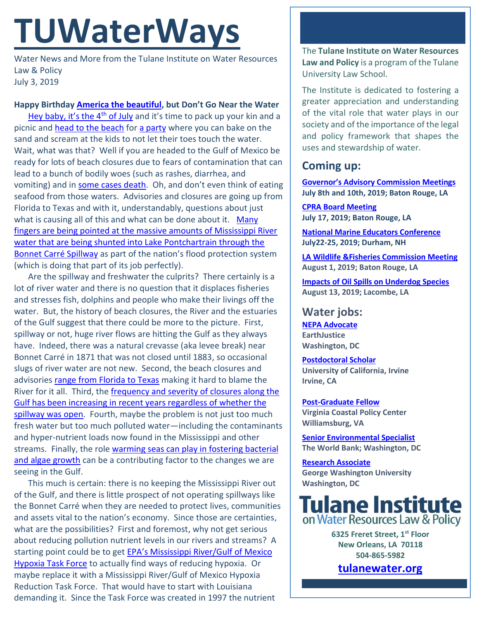# **TUWaterWays**

Water News and More from the Tulane Institute on Water Resources Law & Policy July 3, 2019

# **Happy Birthday America [the beautiful,](https://www.youtube.com/watch?v=ao0vXBJqODE) but Don't Go Near the Water**

[Hey baby, it's the 4](https://www.youtube.com/watch?v=K_tyWt_9Bfs)<sup>th</sup> of July and it's time to pack up your kin and a picnic and [head to the beach](https://www.youtube.com/watch?v=Nk3ZN3dSeDk) for [a party](https://www.youtube.com/watch?v=M11SvDtPBhA) where you can bake on the sand and scream at the kids to not let their toes touch the water. Wait, what was that? Well if you are headed to the Gulf of Mexico be ready for lots of beach closures due to fears of contamination that can lead to a bunch of bodily woes (such as rashes, diarrhea, and vomiting) and in [some cases death](https://people.com/health/woman-dies-flesh-eating-bacteria-florida-beach/). Oh, and don't even think of eating seafood from those waters. Advisories and closures are going up from Florida to Texas and with it, understandably, questions about just what is causing all of this and what can be done about it. [Many](https://www.sunherald.com/news/business/article231982137.html) [fingers are being pointed at the massive amounts of Mississippi River](https://www.sunherald.com/news/business/article231982137.html)  [water that are being shunted into Lake Pontchartrain through the](https://www.sunherald.com/news/business/article231982137.html)  [Bonnet Carré](https://www.sunherald.com/news/business/article231982137.html) Spillway as part of the nation's flood protection system (which is doing that part of its job perfectly).

Are the spillway and freshwater the culprits? There certainly is a lot of river water and there is no question that it displaces fisheries and stresses fish, dolphins and people who make their livings off the water. But, the history of beach closures, the River and the estuaries of the Gulf suggest that there could be more to the picture. First, spillway or not, huge river flows are hitting the Gulf as they always have. Indeed, there was a natural crevasse (aka levee break) near Bonnet Carré in 1871 that was not closed until 1883, so occasional slugs of river water are not new. Second, the beach closures and advisories [range from Florida to Texas](https://wreg.com/2019/07/02/over-a-dozen-beaches-closed-in-louisiana-mississippi-due-to-harmful-algae-bloom/) making it hard to blame the River for it all. Third, the [frequency and severity of closures along the](https://opcgis.deq.state.ms.us/beaches/closures.php)  [Gulf has been increasing in recent years regardless of whether the](https://opcgis.deq.state.ms.us/beaches/closures.php)  spillway [was open.](https://opcgis.deq.state.ms.us/beaches/closures.php) Fourth, maybe the problem is not just too much fresh water but too much polluted water—including the contaminants and hyper-nutrient loads now found in the Mississippi and other streams. Finally, the role [warming seas can play in fostering bacterial](https://www.today.com/health/flesh-eating-bacteria-may-be-spreading-east-coast-beaches-report-t156639)  [and algae growth](https://www.today.com/health/flesh-eating-bacteria-may-be-spreading-east-coast-beaches-report-t156639) can be a contributing factor to the changes we are seeing in the Gulf.

This much is certain: there is no keeping the Mississippi River out of the Gulf, and there is little prospect of not operating spillways like the Bonnet Carré when they are needed to protect lives, communities and assets vital to the nation's economy. Since those are certainties, what are the possibilities? First and foremost, why not get serious about reducing pollution nutrient levels in our rivers and streams? A starting point could be to get [EPA's Mississippi River/Gulf](https://www.epa.gov/ms-htf/history-hypoxia-task-force) of Mexico [Hypoxia Task Force](https://www.epa.gov/ms-htf/history-hypoxia-task-force) to actually find ways of reducing hypoxia. Or maybe replace it with a Mississippi River/Gulf of Mexico Hypoxia Reduction Task Force. That would have to start with Louisiana demanding it. Since the Task Force was created in 1997 the nutrient

The **Tulane Institute on Water Resources Law and Policy** is a program of the Tulane University Law School.

The Institute is dedicated to fostering a greater appreciation and understanding of the vital role that water plays in our society and of the importance of the legal and policy framework that shapes the uses and stewardship of water.

# **Coming up:**

**[Governor's Advisory Commission](https://coastal.la.gov/calendar/) Meetings July 8th and 10th, 2019; Baton Rouge, LA**

**[CPRA Board Meeting](https://coastal.la.gov/calendar/) July 17, 2019; Baton Rouge, LA**

**[National Marine Educators Conference](https://www.marine-ed.org/page/nmea2019) July22-25, 2019; Durham, NH**

**LA [Wildlife &Fisheries Commission Meeting](https://www.facebook.com/events/231954827750096/) August 1, 2019; Baton Rouge, LA**

**[Impacts of Oil Spills on Underdog Species](https://gulfseagrant.org/oilspilloutreach/presentations/) August 13, 2019; Lacombe, LA**

## **Water jobs:**

**[NEPA Advocate](http://jobs.jobvite.com/careers/earthjustice/job/o6DmafwZ?__jvst=Job+Board&__jvsd=internalemail) EarthJustice Washington, DC**

**[Postdoctoral Scholar](https://www.joshswaterjobs.com/jobs/16051) University of California, Irvine Irvine, CA**

**[Post-Graduate Fellow](https://jobs.wm.edu/postings/36228) Virginia Coastal Policy Center Williamsburg, VA**

**[Senior Environmental Specialist](https://www.joshswaterjobs.com/jobs/16047) The World Bank; Washington, DC**

**[Research Associate](https://www.joshswaterjobs.com/jobs/16031) George Washington University Washington, DC**



**6325 Freret Street, 1st Floor New Orleans, LA 70118 504-865-5982** 

**[tulanewater.org](file:///C:/Users/waterlaw/Downloads/tulanewater.org)**